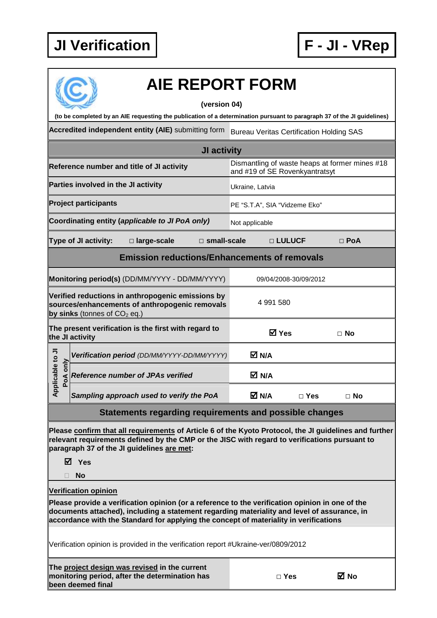

## **AIE REPORT FORM**

## **(version 04)**

**(to be completed by an AIE requesting the publication of a determination pursuant to paragraph 37 of the JI guidelines)** 

**Accredited independent entity (AIE)** submitting form Bureau Veritas Certification Holding SAS

| JI activity                                                                                                                           |                                                                                                                               |                                                                                                                                                                                                                                |                               |              |                            |           |  |  |
|---------------------------------------------------------------------------------------------------------------------------------------|-------------------------------------------------------------------------------------------------------------------------------|--------------------------------------------------------------------------------------------------------------------------------------------------------------------------------------------------------------------------------|-------------------------------|--------------|----------------------------|-----------|--|--|
|                                                                                                                                       | Dismantling of waste heaps at former mines #18<br>Reference number and title of JI activity<br>and #19 of SE Rovenkyantratsyt |                                                                                                                                                                                                                                |                               |              |                            |           |  |  |
| Parties involved in the JI activity                                                                                                   |                                                                                                                               |                                                                                                                                                                                                                                | Ukraine, Latvia               |              |                            |           |  |  |
| <b>Project participants</b>                                                                                                           |                                                                                                                               |                                                                                                                                                                                                                                | PE "S.T.A", SIA "Vidzeme Eko" |              |                            |           |  |  |
| Coordinating entity (applicable to JI PoA only)<br>Not applicable                                                                     |                                                                                                                               |                                                                                                                                                                                                                                |                               |              |                            |           |  |  |
| Type of JI activity:<br>□ large-scale<br>$\square$ small-scale                                                                        |                                                                                                                               |                                                                                                                                                                                                                                |                               | □ LULUCF     | $\Box$ PoA                 |           |  |  |
| <b>Emission reductions/Enhancements of removals</b>                                                                                   |                                                                                                                               |                                                                                                                                                                                                                                |                               |              |                            |           |  |  |
| Monitoring period(s) (DD/MM/YYYY - DD/MM/YYYY)<br>09/04/2008-30/09/2012                                                               |                                                                                                                               |                                                                                                                                                                                                                                |                               |              |                            |           |  |  |
| Verified reductions in anthropogenic emissions by<br>sources/enhancements of anthropogenic removals<br>by sinks (tonnes of $CO2$ eq.) |                                                                                                                               |                                                                                                                                                                                                                                | 4 991 580                     |              |                            |           |  |  |
| The present verification is the first with regard to<br>the JI activity                                                               |                                                                                                                               |                                                                                                                                                                                                                                |                               | <b>⊠</b> Yes | $\Box$ No                  |           |  |  |
| Applicable to JI<br>PoA only                                                                                                          |                                                                                                                               | Verification period (DD/MM/YYYY-DD/MM/YYYY)                                                                                                                                                                                    |                               | M N/A        |                            |           |  |  |
|                                                                                                                                       |                                                                                                                               | <b>Reference number of JPAs verified</b>                                                                                                                                                                                       |                               | M N/A        |                            |           |  |  |
|                                                                                                                                       |                                                                                                                               | Sampling approach used to verify the PoA                                                                                                                                                                                       |                               | M N/A        | $\Box$ Yes                 | $\Box$ No |  |  |
|                                                                                                                                       |                                                                                                                               | Other the contract of the contract of the contract of the contract of the contract of the contract of the contract of the contract of the contract of the contract of the contract of the contract of the contract of the cont |                               |              | <b>PERMIT AND PROPERTY</b> |           |  |  |

**Statements regarding requirements and possible changes** 

**Please confirm that all requirements of Article 6 of the Kyoto Protocol, the JI guidelines and further relevant requirements defined by the CMP or the JISC with regard to verifications pursuant to paragraph 37 of the JI guidelines are met:** 

**Yes** 

**No** 

**Verification opinion**

**Please provide a verification opinion (or a reference to the verification opinion in one of the documents attached), including a statement regarding materiality and level of assurance, in accordance with the Standard for applying the concept of materiality in verifications** 

Verification opinion is provided in the verification report #Ukraine-ver/0809/2012

**The project design was revised in the current monitoring period, after the determination has been deemed final** 

|  | w<br>۰.<br>۰, |
|--|---------------|
|--|---------------|

**□ Yes No**